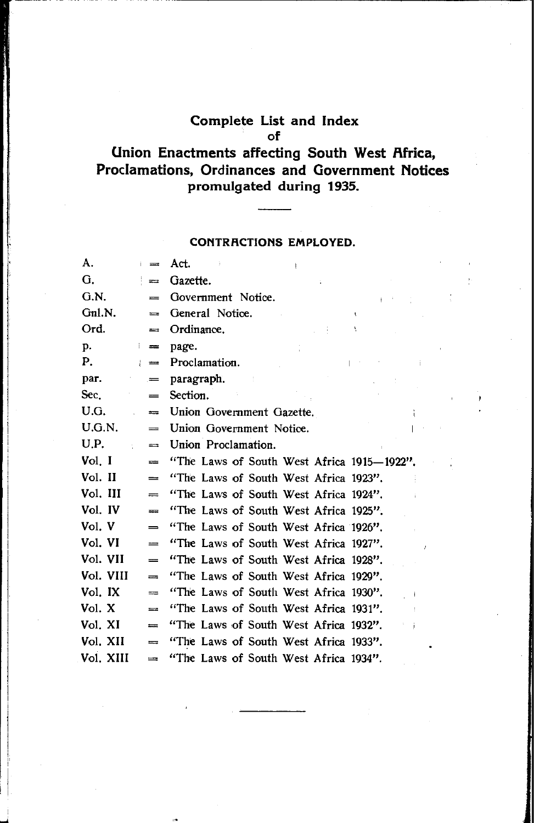## **Complete List and Index**  of

# **Union Enactments affecting South West Africa, Proclamations, Ordinances and Government Notices promulgated during 1935.**

#### **CONTRRCTIONS EMPLOYED.**

| A.        | $=$            | Act.                                       |
|-----------|----------------|--------------------------------------------|
| G.        | $=$            | Gazette.                                   |
| G.N.      | $=$            | Government Notice.                         |
| Gnl.N.    | $=$            | General Notice.<br>$\mathbf{I}$            |
| Ord.      | $\equiv$       | Ordinance.                                 |
| p.        | ţ.<br>$=$      | page.                                      |
| Р.        | ÷.<br>$\equiv$ | Proclamation.                              |
| раг.      | =              | paragraph.                                 |
| Sec.      | $=$            | Section.                                   |
| U.G.      | $=$            | Union Government Gazette.                  |
| U.G.N.    | $=$            | Union Government Notice.                   |
| U.P.      | $\equiv$       | Union Proclamation.                        |
| Vol. I    | $=$            | "The Laws of South West Africa 1915-1922". |
| Vol. II   | $\equiv$       | "The Laws of South West Africa 1923".      |
| Vol. III  | $=$            | "The Laws of South West Africa 1924".      |
| Vol. IV   | $=$            | "The Laws of South West Africa 1925".      |
| Vol. V    | $=$            | "The Laws of South West Africa 1926".      |
| Vol. VI   | $=$            | "The Laws of South West Africa 1927".      |
| Vol. VII  | $=$            | "The Laws of South West Africa 1928".      |
| Vol. VIII | $=$            | "The Laws of South West Africa 1929".      |
| Vol. IX   | $=$            | "The Laws of South West Africa 1930".      |
| Vol. X    | $=$            | "The Laws of South West Africa 1931".      |
| Vol. XI   | $\equiv$       | "The Laws of South West Africa 1932".      |
| Vol. XII  | $=$            | "The Laws of South West Africa 1933".      |
| Vol. XIII | $=$            | "The Laws of South West Africa 1934".      |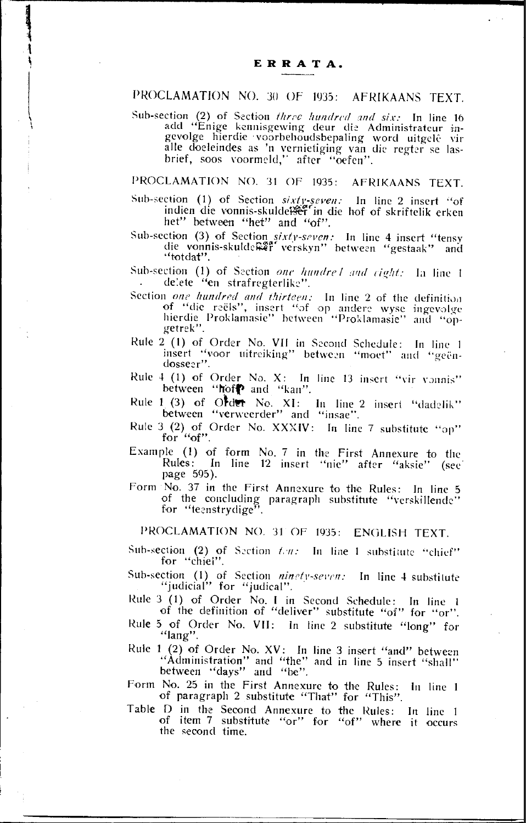### PROCLAMATION NO. 30 OF 1935: AFRIKAANS TEXT.

Sub-section (2) of Section three hundred and six: In line 16<br>add "Enige kennisgewing deur die Administrateur in-<br>gevolge hierdie voorbehoudsbepaling word uitgelê vir<br>alle doeleindes as 'n vernietiging van die regter se las brief, soos voormeld," after "oefen".

## PROCLAMATION NO. 31 OF 1935: AFRIKAANS TEXT.

Sub-section (1) of Section sixty-seven: In line 2 insert "of indien die vonnis-skuldetser" in die hof of skriftelik erken het" between "het" and "of".

Sub-section (3) of Section sixty-seven: In line 4 insert "tensy die vonnis-skulde Ref verskyn" between "gestaak" and "totdat".

- Sub-section (1) of Section one hundrel and cight: In line 1 delete "en strafregterlike".
- Section one hundred and thirteen: In line 2 of the definition of "die reëls", insert "of op andere wyse ingevolge<br>hierdie Proklamasie" between "Proklamasie" and "opgetrek".
- Rule 2 (1) of Order No. VII in Second Schedule: In line 1 insert "voor uitreiking" between "moet" and "geëndosseer"
- Rule 4 (1) of Order No. X: In line 13 insert "vir vonnis" between "hoff and "kan".
- Rule 1 (3) of Order No. XI: In line 2 insert "dadelik" between "verweerder" and "insae".
- Rule 3 (2) of Order No. XXXIV: In line 7 substitute "op" for "of".
- Example (1) of form No. 7 in the First Annexure to the Rules: In line 12 insert "nie" after "aksie" (see page 595).
- Form No. 37 in the First Annexure to the Rules: In line 5 of the concluding paragraph substitute "verskillende" for "teenstrydige".

PROCLAMATION NO. 31 OF 1935: ENGLISH TEXT.

Sub-section (2) of Section ten: In line 1 substitute "chief" for "chiel".

- Sub-section (1) of Section ninety-seven: In line 4 substitute "judicial" for "judical".
- Rule 3 (1) of Order No. I in Second Schedule: In line 1 of the definition of "deliver" substitute "of" for "or".
- Rule 5 of Order No. VII: In line 2 substitute "long" for "lang".
- Rule  $1(2)$  of Order No. XV: In line 3 insert "and" between "Administration" and "the" and in line 5 insert "shall"<br>between "days" and "be".

Form No. 25 in the First Annexure to the Rules: In line 1 of paragraph 2 substitute "That" for "This".

Table D in the Second Annexure to the Rules: In line 1 of item 7 substitute "or" for "of" where it occurs the second time.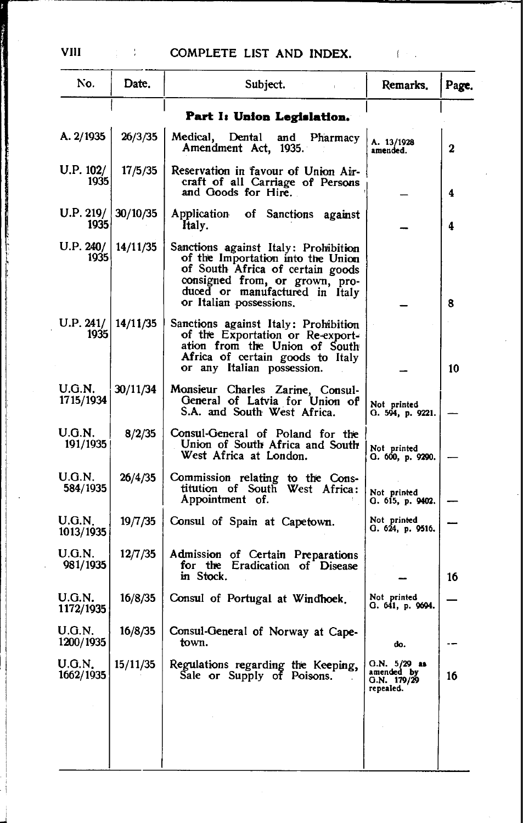| No.                 | Date.    | Subject.                                                                                                                                                                                                     | Remarks.                                                 | Page.            |
|---------------------|----------|--------------------------------------------------------------------------------------------------------------------------------------------------------------------------------------------------------------|----------------------------------------------------------|------------------|
|                     |          | Part I: Union Legislation.                                                                                                                                                                                   |                                                          |                  |
| A. 2/1935           | 26/3/35  | Medical,<br>Dental<br>and<br>Pharmacy<br>Amendment Act, 1935.                                                                                                                                                | A. 13/1928<br>amended.                                   | $\boldsymbol{2}$ |
| U.P. 102/<br>1935   | 17/5/35  | Reservation in Tavour of Union Air-<br>craft of all Carriage of Persons<br>and Goods for Hire.                                                                                                               |                                                          | 4                |
| U.P. 219/<br>1935   | 30/10/35 | Application<br>of Sanctions against<br>Italy.                                                                                                                                                                |                                                          | 4                |
| U.P. 240/<br>1935   | 14/11/35 | Sanctions against Italy: Prohibition<br>of the Importation into the Union<br>of South Africa of certain goods<br>consigned from, or grown, pro-<br>duced or manufactured in Italy<br>or Italian possessions. |                                                          | 8                |
| U.P. 241/<br>1935   | 14/11/35 | Sanctions against Italy: Prohibition<br>of the Exportation or Re-export-<br>ation from the Union of South<br>Africa of certain goods to Italy<br>or any Italian possession.                                  |                                                          | 10               |
| U.G.N.<br>1715/1934 | 30/11/34 | Monsieur Charles Zarine, Consul-<br>General of Latvia for Union of<br>S.A. and South West Africa.                                                                                                            | Not printed<br>G. 594, p. 9221.                          |                  |
| U.G.N.<br>191/1935  | 8/2/35   | Consul-General of Poland for the<br>Union of South Africa and South<br>West Africa at London.                                                                                                                | Not printed<br>О. 600, р. 9290.                          |                  |
| U.G.N.<br>584/1935  | 26/4/35  | Commission relating to the Cons-<br>titution of South West Africa:<br>Appointment of.                                                                                                                        | Not printed<br>Q. 615, p. 9402.                          |                  |
| U.G.N.<br>1013/1935 | 19/7/35  | Consul of Spain at Capetown.                                                                                                                                                                                 | Not printed<br>G. 624, p. 9516.                          |                  |
| U.G.N.<br>981/1935  | 12/7/35  | Admission of Certain Preparations<br>for the Eradication of Disease<br>in Stock.                                                                                                                             |                                                          | 16               |
| U.G.N.<br>1172/1935 | 16/8/35  | Consul of Portugal at Windhoek.                                                                                                                                                                              | Not printed<br>О. 641, р. 9694.                          |                  |
| U.G.N.<br>1200/1935 | 16/8/35  | Consul-General of Norway at Cape-<br>town.                                                                                                                                                                   | œ.                                                       |                  |
| U.G.N.<br>1662/1935 | 15/11/35 | Regulations regarding the Keeping,<br>Sale or Supply of Poisons.                                                                                                                                             | $O.N. 5/29$ as<br>amended by<br>G.N. 179/29<br>repealed. | 16               |
|                     |          |                                                                                                                                                                                                              |                                                          |                  |
|                     |          |                                                                                                                                                                                                              |                                                          |                  |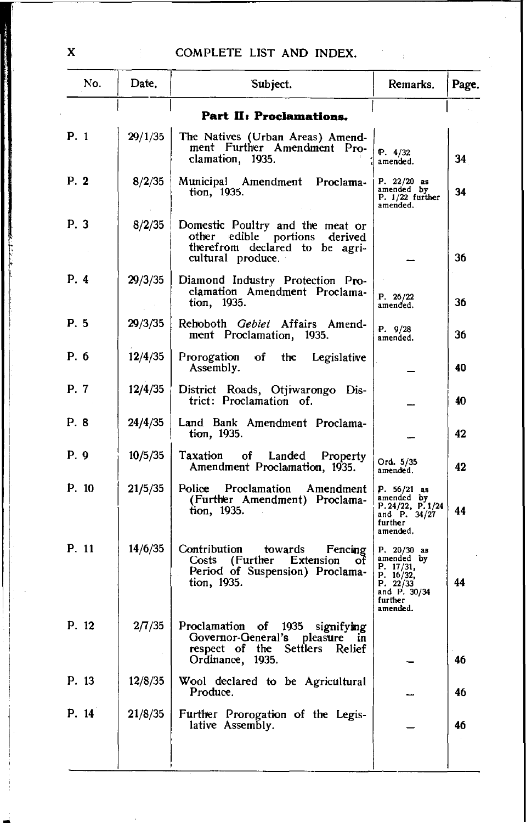| No.   | Date,   | Subject.                                                                                                                                           | Remarks.                                                                                                 | Page. |
|-------|---------|----------------------------------------------------------------------------------------------------------------------------------------------------|----------------------------------------------------------------------------------------------------------|-------|
|       |         | Part II: Proclamations.                                                                                                                            |                                                                                                          |       |
| P. 1  | 29/1/35 | The Natives (Urban Areas) Amend-<br>ment Further Amendment Pro-<br>clamation, 1935.                                                                | P. 4/32<br>amended.                                                                                      | 34    |
| P. 2  | 8/2/35  | Municipal Amendment Proclama-<br>tion, 1935.                                                                                                       | P. $22/20$ as<br>amended by<br>$P. 1/22$ further<br>amended.                                             | 34    |
| P. 3  | 8/2/35  | Domestic Poultry and the meat or<br>other edible portions derived<br>therefrom declared to be agri-<br>cultural produce.                           |                                                                                                          | 36    |
| P. 4  | 29/3/35 | Diamond Industry Protection Pro-<br>clamation Amendment Proclama-<br>tion, 1935.                                                                   | P. 26/22<br>amended.                                                                                     | 36    |
| P. 5  | 29/3/35 | Rehoboth Gebiet Affairs Amend-<br>ment Proclamation, 1935.                                                                                         | P. 9/28<br>amended.                                                                                      | 36    |
| P. 6  | 12/4/35 | Prorogation<br>of<br>the<br>Legislative<br>Assembly.                                                                                               |                                                                                                          | 40    |
| P. 7  | 12/4/35 | District Roads, Otjiwarongo Dis-<br>trict: Proclamation of.                                                                                        |                                                                                                          | 40    |
| P. 8  | 24/4/35 | Land Bank Amendment Proclama-<br>tion, 1935.                                                                                                       |                                                                                                          | 42    |
| P. 9  | 10/5/35 | Taxation<br>of<br>Landed<br><b>Property</b><br>Amendment Proclamation, 1935.                                                                       | Ord. 5/35<br>amended.                                                                                    | 42    |
| P. 10 | 21/5/35 | Police<br>Proclamation Amendment<br>(Further Amendment) Proclama-<br>tion, 1935.                                                                   | $P. 56/21$ as<br>amended by<br>P. 24/22, $\tilde{P}$ . 1/24<br>and P. 34/27<br>further<br>amended,       | 44    |
| P. 11 | 14/6/35 | Contribution<br>towards<br>Fencing<br>Costs (Further Extension<br>ΟŤ<br>Period of Suspension) Proclama-<br>tion, 1935.                             | $P. 20/30$ as<br>amended by<br>P. 17/31,<br>P. 16/32,<br>P. 22/33<br>and P. 30/34<br>further<br>amended. | 44    |
| P. 12 | 2/7/35  | Proclamation<br>οf<br>signifying<br>1935<br>Governor-General's<br>pleasure<br>m<br>respect of the<br><b>Settlers</b><br>Relief<br>Ordinance, 1935. |                                                                                                          | 46    |
| P. 13 | 12/8/35 | Wool declared to be Agricultural<br>Produce.                                                                                                       |                                                                                                          | 46    |
| P. 14 | 21/8/35 | Further Prorogation of the Legis-<br>lative Assembly.                                                                                              |                                                                                                          | 46    |
|       |         |                                                                                                                                                    |                                                                                                          |       |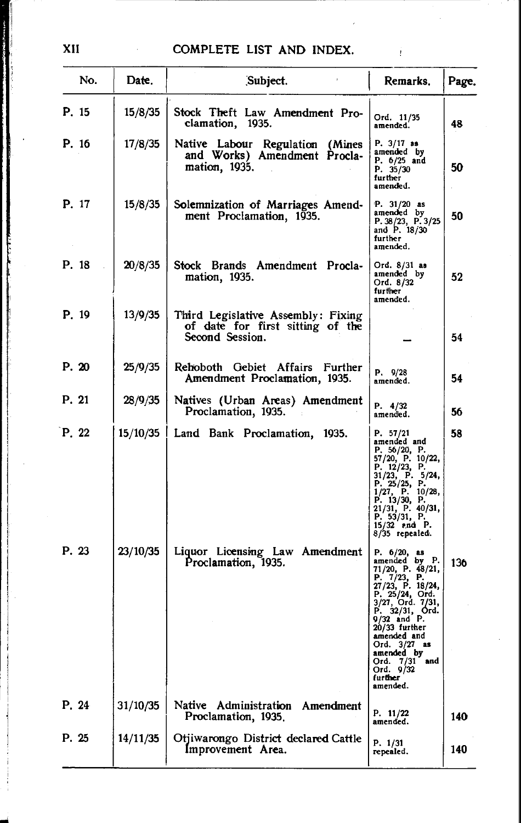Ť

| No.   | Date.    | Subject.                                                                                  | Remarks.                                                                                                                                                                                                                                                                            | Page. |
|-------|----------|-------------------------------------------------------------------------------------------|-------------------------------------------------------------------------------------------------------------------------------------------------------------------------------------------------------------------------------------------------------------------------------------|-------|
| P. 15 | 15/8/35  | Stock Theft Law Amendment Pro-<br>clamation, 1935.                                        | Ord. 11/35<br>amended.                                                                                                                                                                                                                                                              | 48    |
| P. 16 | 17/8/35  | Native Labour Regulation (Mines<br>and Works) Amendment Procla-<br>mation, 1935.          | P. 3/17 as<br>amended by<br>P. 6/25 and<br>P. 35/30<br>further<br>amended.                                                                                                                                                                                                          | 50    |
| P. 17 | 15/8/35  | Solemnization of Marriages Amend-<br>ment Proclamation, 1935.                             | P. $31/20$ as<br>amended by<br>P. 38/23, P. 3/25<br>and P. 18/30<br>further<br>amended.                                                                                                                                                                                             | 50    |
| P. 18 | 20/8/35  | Stock Brands Amendment Procla-<br>mation, 1935.                                           | Ord. 8/31 as<br>amended by<br>Ord. 8/32<br>further<br>amended.                                                                                                                                                                                                                      | 52    |
| P. 19 | 13/9/35  | Third Legislative Assembly: Fixing<br>of date for first sitting of the<br>Second Session. |                                                                                                                                                                                                                                                                                     | 54    |
| P. 20 | 25/9/35  | Rehoboth Gebiet Affairs Further<br>Amendment Proclamation, 1935.                          | P. 9/28<br>amended.                                                                                                                                                                                                                                                                 | 54    |
| P. 21 | 28/9/35  | Natives (Urban Areas) Amendment<br>Proclamation, 1935.                                    | P. 4/32<br>amended.                                                                                                                                                                                                                                                                 | 56    |
| P. 22 | 15/10/35 | Land Bank Proclamation, 1935.                                                             | P. 57/21<br>amended and<br>P. 56/20, P.<br>57/20, P. 10/22,<br>P. 12/23, P.<br>31/23, P. 5/24,<br>P. 25/25, P.<br>$1/27$ , P. $10/28$ ,<br>P. $13/30$ , P.<br>21/31, P. 40/31,<br>P. 53/31, P.<br>15/32 end P.<br>8/35 repealed.                                                    | 58    |
| P. 23 | 23/10/35 | Liquor Licensing Law Amendment<br>Proclamation, 1935.                                     | P. 6/20, as<br>amended by P.<br>$71/20$ , P. 48/21,<br>P. 7/23, P.<br>27/23, P. 18/24,<br>P. 25/24, Ord.<br>3/27, Ord. 7/31,<br>P. 32/31, Ord.<br>9/32 and P.<br>20/33 further<br>amended and<br>Ord. 3/27 as<br>amended by<br>Ord. 7/31<br>and<br>Ord. 9/32<br>further<br>amended. | 136   |
| P. 24 | 31/10/35 | Native<br>Administration<br>Amendment<br>Proclamation, 1935.                              | P. 11/22<br>amended.                                                                                                                                                                                                                                                                | 140   |
| P. 25 | 14/11/35 | Otjiwarongo District declared Cattle<br>Improvement Area.                                 | P. 1/31<br>repealed.                                                                                                                                                                                                                                                                | 140   |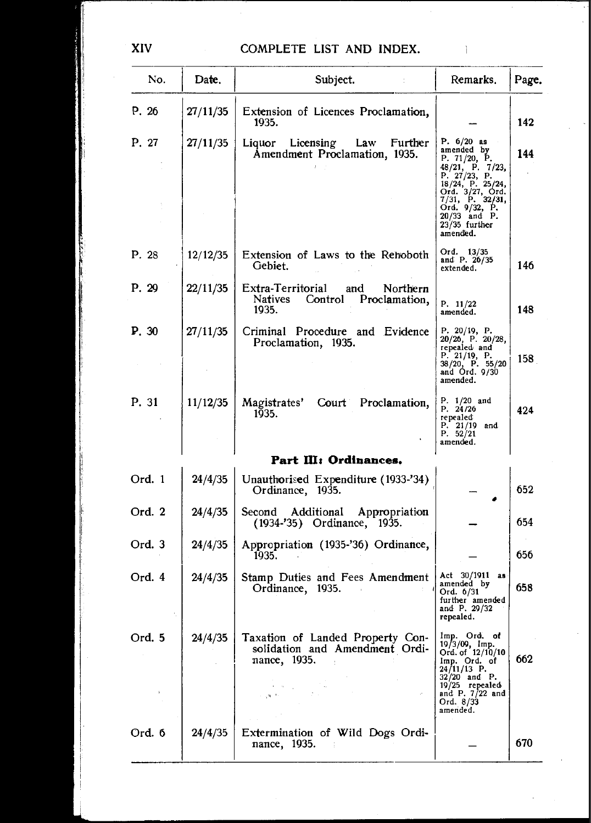| No.    | Date,    | Subject.                                                                                                                            | Remarks.                                                                                                                                                                                                       | Page. |
|--------|----------|-------------------------------------------------------------------------------------------------------------------------------------|----------------------------------------------------------------------------------------------------------------------------------------------------------------------------------------------------------------|-------|
| P. 26  | 27/11/35 | Extension of Licences Proclamation,<br>1935.                                                                                        |                                                                                                                                                                                                                | 142   |
| P. 27  | 27/11/35 | Liquor Licensing<br>Law<br>Further<br>Amendment Proclamation, 1935.                                                                 | P. $6/20$ as<br>amended by<br>P. 71/20, P.<br>48/21, P. 7/23, P. 27/23, P. 27/23, P.<br>18/24, P. 25/24,<br>Ord. 3/27, Ord.<br>7/31, P. 32/31,<br>Ord. 9/32, P.<br>20/33 and P.<br>$23/35$ further<br>amended. | 144   |
| P. 28  | 12/12/35 | Extension of Laws to the Rehoboth<br>Gebiet.                                                                                        | Ord. 13/35<br>and P. 26/35<br>extended.                                                                                                                                                                        | 146   |
| P. 29  | 22/11/35 | Extra-Territorial<br>and<br>Northern<br>Natives Control Proclamation,<br>1935.                                                      | P. 11/22<br>amended.                                                                                                                                                                                           | 148   |
| P. 30  | 27/11/35 | Criminal Procedure and Evidence<br>Proclamation, 1935.                                                                              | P. 20/19, P. 20/28,<br>repealed and<br>P. 21/19, P.<br>$38/20$ , P. $55/20$<br>and Ord. 9/30<br>amended.                                                                                                       | 158.  |
| P. 31  | 11/12/35 | Magistrates'<br>Court Proclamation,<br>1935.                                                                                        | P. 1/20 and<br>P. 24/26<br>repealed<br>$P. 21/19$ and<br>P. $52/21$<br>amended.                                                                                                                                | 424   |
|        |          | Part III: Ordinances.                                                                                                               |                                                                                                                                                                                                                |       |
| Ord. 1 | 24/4/35  | Unauthorised Expenditure (1933-'34)<br>Ordinance, 1935.                                                                             |                                                                                                                                                                                                                | 652   |
| Ord. 2 | 24/4/35  | Second Additional<br>Appropriation<br>(1934-'35) Ordinance, 1935.                                                                   |                                                                                                                                                                                                                | 654   |
| Ord. 3 | 24/4/35  | Appropriation (1935-'36) Ordinance,<br>1935.                                                                                        |                                                                                                                                                                                                                | 656   |
| Ord. 4 | 24/4/35  | Stamp Duties and Fees Amendment<br>Ordinance, 1935.                                                                                 | Act 30/1911 as<br>amended by<br>Ord. 6/31<br>further amended<br>and P. 29/32<br>repealed.                                                                                                                      | 658   |
| Ord. 5 | 24/4/35  | Taxation of Landed Property Con-<br>solidation and Amendment Ordi-<br>nance, 1935.<br>$\mathbb{R}^2$<br>$\sim 200~\mu_\mathrm{p}$ . | Imp. Ord. of<br>19/3/09, Imp.<br>Ord. of 12/10/10<br>Imp. Ord. of<br>24/11/13 P.<br>$32/20$ and P.<br>19/25 repealed<br>and P. 7/22 and<br>Ord. 8/33<br>amended.                                               | 662   |
| Ord. 6 | 24/4/35  | Extermination of Wild Dogs Ordi-<br>nance, 1935.                                                                                    |                                                                                                                                                                                                                | 670   |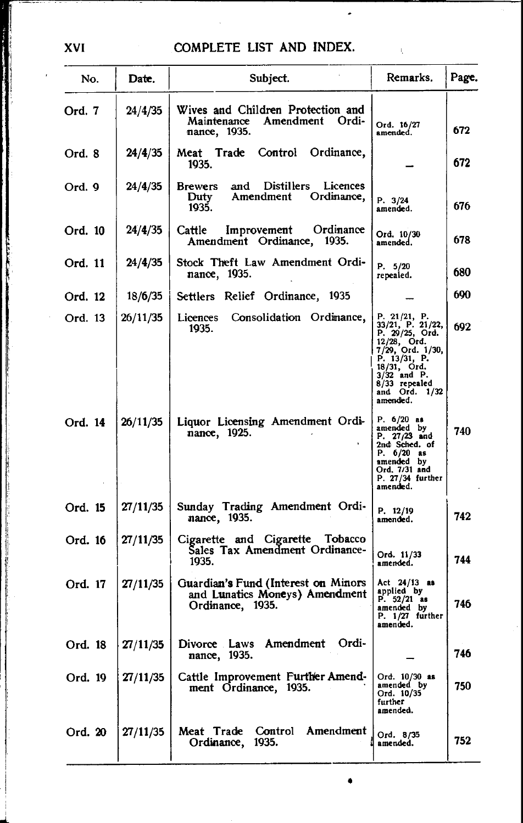$\cdot$ 

 $\sim 10^{-1}$ 

| No.     | Date.    | Subject.                                                                                    | Remarks.                                                                                                                                                                            | Page. |
|---------|----------|---------------------------------------------------------------------------------------------|-------------------------------------------------------------------------------------------------------------------------------------------------------------------------------------|-------|
| Ord. 7  | 24/4/35  | Wives and Children Protection and<br>Maintenance Amendment<br>Ordi-<br>mance, 1935.         | Ord. 16/27<br>amended.                                                                                                                                                              | 672   |
| Ord. 8  | 24/4/35  | Control<br>Ordinance,<br>Meat Trade<br>1935.                                                |                                                                                                                                                                                     | 672   |
| Ord. 9  | 24/4/35  | Distillers<br>Licences<br><b>Brewers</b><br>and<br>Amendment<br>Ordinance,<br>Duty<br>1935. | P. 3/24<br>amended.                                                                                                                                                                 | 676   |
| Ord. 10 | 24/4/35  | Ordinance<br>Improvement<br><b>Cattle</b><br>Amendment Ordinance, 1935.                     | Ord. 10/30<br>amended.                                                                                                                                                              | 678   |
| Ord. 11 | 24/4/35  | Stock Theft Law Amendment Ordi-<br>nance, 1935.                                             | P. 5/20<br>repealed.                                                                                                                                                                | 680   |
| Ord. 12 | 18/6/35  | Settlers Relief Ordinance, 1935                                                             |                                                                                                                                                                                     | 690   |
| Ord. 13 | 26/11/35 | Consolidation Ordinance,<br>Licences<br>1935.                                               | P. 21/21, P.<br>33/21, P. 21/22,<br>P. 29/25, Ord.<br>12/28, Ord.<br>7/29, Ord. 1/30,<br>P. 13/31, P.<br>18/31, Ord.<br>$3/32$ and P.<br>8/33 repealed<br>and Ord. 1/32<br>amended. | 692   |
| Ord. 14 | 26/11/35 | Liquor Licensing Amendment Ordi-<br>nance, 1925.                                            | P. $6/20$ as<br>amended by<br>P. 27/23 and<br>2nd Sched. of<br>P. $6/20$ as<br>amended by<br>Ord. 7/31 and<br>P. 27/34 further<br>amended.                                          | 740   |
| Ord. 15 | 27/11/35 | Sunday Trading Amendment Ordi-<br>nance, 1935.                                              | P. 12/19<br>amended.                                                                                                                                                                | 742   |
| Ord. 16 | 27/11/35 | Cigarette and Cigarette<br>Tobacco<br>Sales Tax Amendment Ordinance-<br>1935.               | Ord. 11/33<br>amended.                                                                                                                                                              | 744   |
| Ord. 17 | 27/11/35 | Guardian's Fund (Interest on Minors<br>and Lunatics Moneys) Amendment<br>Ordinance, 1935.   | Act 24/13 as<br>applied by<br>P. $52/21$ as<br>amended by<br>$P. 1/27$ further<br>amended.                                                                                          | 746   |
| Ord. 18 | 27/11/35 | Divorce Laws<br>Amendment<br>Ordi-<br>nance, 1935.                                          |                                                                                                                                                                                     | 746   |
| Ord. 19 | 27/11/35 | Cattle Improvement Further Amend-<br>ment Ordinance, 1935.                                  | Ord. 10/30 as<br>amended by<br>Ord. 10/35<br>further<br>amended.                                                                                                                    | 750   |
| Ord. 20 | 27/11/35 | Meat Trade Control<br>Amendment<br>Ordinance, 1935.                                         | Ord. 8/35<br>amended.                                                                                                                                                               | 752   |

•

XVI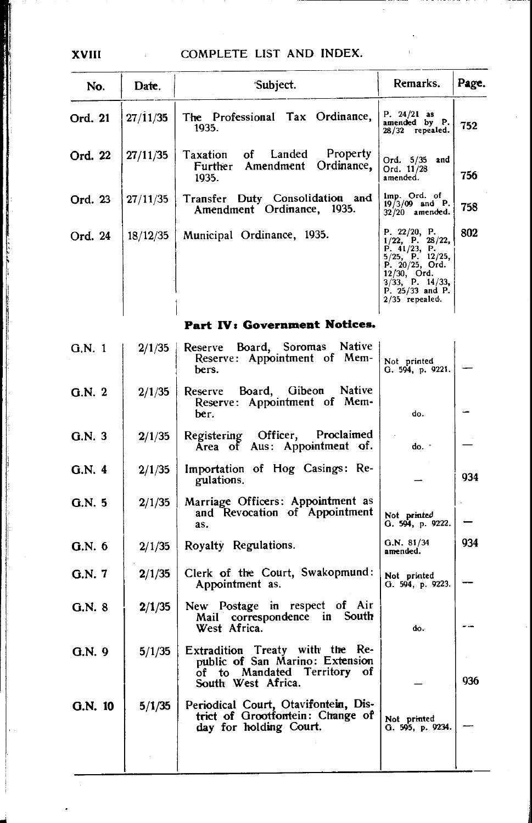$\overline{1}$ 

| No.     | Date.    | 'Subject.                                                                                                                  | Remarks.                                                                                                                                                               | Page. |
|---------|----------|----------------------------------------------------------------------------------------------------------------------------|------------------------------------------------------------------------------------------------------------------------------------------------------------------------|-------|
| Ord. 21 | 27/11/35 | The Professional Tax Ordinance,<br>1935.                                                                                   | P. $24/21$ as<br>amended by P.<br>28/32 repealed.                                                                                                                      | 752.  |
| Ord. 22 | 27/11/35 | Property<br>Taxation of Landed<br>Ordinance,<br>Further Amendment<br>1935.                                                 | Ord. 5/35 and<br>Ord. 11/28<br>amended.                                                                                                                                | 756   |
| Ord. 23 | 27/11/35 | Transfer Duty Consolidation and<br>Amendment Ordinance, 1935.                                                              | $1mp.$ Ord. of $19/3/09$ and P.<br>$32/20$ amended.                                                                                                                    | 758   |
| Ord. 24 | 18/12/35 | Municipal Ordinance, 1935.                                                                                                 | P. 22/20, P.<br>$1/22$ , P. 28/22, P. 41/23, P.<br>$5/25$ , P. 12/25,<br>P. 20/25, Ord.<br>$12/30$ , Ord.<br>$3/33$ , P. 14/33,<br>P. 25/33 and P.<br>$2/35$ repealed. | 802   |
|         |          | Part IV: Government Notices.                                                                                               |                                                                                                                                                                        |       |
| G.N.1   | 2/1/35   | Reserve Board, Soromas Native<br>Reserve: Appointment of Mem-<br>bers.                                                     | Not printed<br>Q.594, p.9221.                                                                                                                                          |       |
| G.N.2   | 2/1/35   | Reserve Board, Gibeon Native<br>Reserve: Appointment of Mem-<br>ber.                                                       | do.                                                                                                                                                                    |       |
| G.N.3   | 2/1/35   | Registering Officer, Proclaimed<br>Area of Aus: Appointment of.                                                            | do. .                                                                                                                                                                  |       |
| G.N.4   | 2/1/35   | Importation of Hog Casings: Re-<br>gulations.                                                                              |                                                                                                                                                                        | 934   |
| G.N.5   | 2/1/35   | Marriage Officers: Appointment as<br>and Revocation of Appointment<br>as.                                                  | Not printed<br>G. 594, p. 9222.                                                                                                                                        |       |
| G.N. 6  | 2/1/35   | Royalty Regulations.                                                                                                       | G.N. 81/34<br>amended.                                                                                                                                                 | 934   |
| G.N. 7  | 2/1/35   | Clerk of the Court, Swakopmund:<br>Appointment as.                                                                         | Not printed<br>G. 594, p. 9223.                                                                                                                                        |       |
| G.N. 8  | 2/1/35   | New Postage in respect of Air<br>Mail correspondence in South<br>West Africa.                                              | do.                                                                                                                                                                    |       |
| G.N. 9  | 5/1/35   | Extradition Treaty with the Re-<br>public of San Marino: Extension<br>of to Mandated Territory<br>οf<br>South West Africa. |                                                                                                                                                                        | 936   |
| G.N. 10 | 5/1/35   | Periodical Court, Otavifontein, Dis-<br>trict of Grootfontein: Change of<br>day for holding Court.                         | Not printed<br>G. 595, p. 9234.                                                                                                                                        |       |
|         |          |                                                                                                                            |                                                                                                                                                                        |       |

XVIII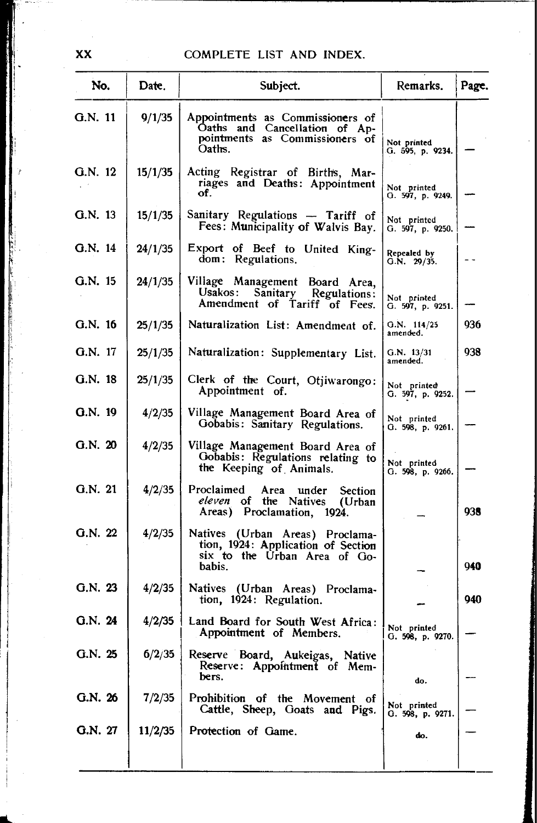| No.       | Date.   | Subject.                                                                                                        | Remarks.                        | Page. |
|-----------|---------|-----------------------------------------------------------------------------------------------------------------|---------------------------------|-------|
| $G.N.$ 11 | 9/1/35  | Appointments as Commissioners of<br>Oaths and Cancellation of Ap-<br>pointments as Commissioners of<br>Oaths.   | Not printed<br>G. 595, p. 9234. |       |
| G.N. 12   | 15/1/35 | Acting Registrar of Births, Mar-<br>riages and Deaths: Appointment<br>of.                                       | Not printed<br>G. 597, p. 9249. |       |
| $G.N.$ 13 | 15/1/35 | Sanitary Regulations - Tariff of<br>Fees: Municipality of Walvis Bay.                                           | Not printed<br>G. 597, p. 9250. |       |
| $G.N.$ 14 | 24/1/35 | Export of Beef to United King-<br>dom: Regulations.                                                             | Repealed by<br>G.N. 29/35.      |       |
| G.N. 15   | 24/1/35 | Village Management Board Area,<br>Usakos : -<br>Sanitary<br>Regulations:<br>Amendment of Tariff of Fees.        | Not printed<br>G. 597, p. 9251. |       |
| $G.N.$ 16 | 25/1/35 | Naturalization List: Amendment of.                                                                              | Q.N. 114/25<br>amended.         | 936   |
| G.N. 17   | 25/1/35 | Naturalization: Supplementary List.                                                                             | G.N. 13/31<br>amended.          | 938   |
| G.N. 18   | 25/1/35 | Clerk of the Court, Otjiwarongo:<br>Appointment of.                                                             | Not printed<br>G. 597, p. 9252. |       |
| Q.N. 19   | 4/2/35  | Village Management Board Area of<br>Gobabis: Sanitary Regulations.                                              | Not printed<br>Q.598, p.9261.   |       |
| G.N. 20   | 4/2/35  | Village Management Board Area of<br>Gobabis: Regulations relating to<br>the Keeping of Animals.                 | Not printed<br>G. 598, p. 9266. |       |
| G.N. 21   | 4/2/35  | Proclaimed<br>Area<br>under<br><b>Section</b><br>eleven of the Natives<br>(Urban)<br>Areas) Proclamation, 1924. |                                 | 938   |
| G.N. 22   | 4/2/35  | Natives (Urban Areas) Proclama-<br>tion, 1924: Application of Section<br>six to the Urban Area of Go-<br>babis. |                                 | 940   |
| G.N. 23   | 4/2/35  | Natives (Urban Areas) Proclama-<br>tion, 1924: Regulation.                                                      |                                 | 940   |
| G.N. 24   | 4/2/35  | Land Board for South West Africa:<br>Appointment of Members.                                                    | Not printed<br>G. 598, p. 9270. |       |
| G.N. 25   | 6/2/35  | Reserve Board, Aukeigas, Native<br>Reserve: Appointment of Mem-<br>bers.                                        | do.                             |       |
| G.N. 26   | 7/2/35  | Prohibition of the Movement of<br>Cattle, Sheep, Goats and Pigs.                                                | Not printed<br>G. 598, p. 9271. |       |
| G.N. 27   | 11/2/35 | Protection of Game.                                                                                             | do.                             |       |
|           |         |                                                                                                                 |                                 |       |

XX

 $\cdot$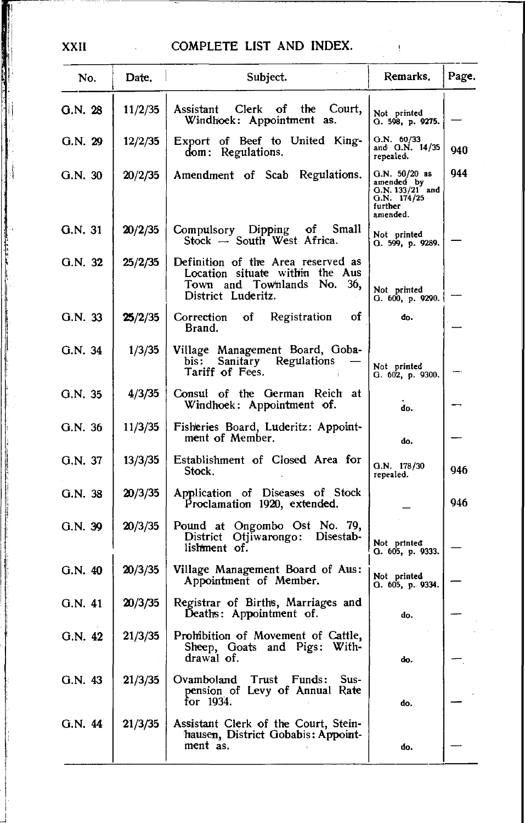ţ

| No.     | Date.   | Subject.                                                                                                                     | Remarks.                                                                              | Page. |
|---------|---------|------------------------------------------------------------------------------------------------------------------------------|---------------------------------------------------------------------------------------|-------|
| G.N.28  | 11/2/35 | Court,<br>Assistant Clerk of the<br>Windhoek: Appointment as.                                                                | Not printed<br>G. 598, p. 9275.                                                       |       |
| G.N. 29 | 12/2/35 | Export of Beef to United King-<br>dom: Regulations.                                                                          | G.N. 60/33<br>and G.N. 14/35<br>repealed.                                             | 940   |
| G.N.30  | 20/2/35 | Amendment of Scab Regulations.                                                                                               | $G.N. 50/20$ as<br>amended by $G.N. 133/21$ and<br>G.N. 174/25<br>further<br>amended. | 944   |
| G.N. 31 | 20/2/35 | Compulsory Dipping of Small<br>Stock -- South West Africa.                                                                   | Not printed<br>Q.599, p.9289.                                                         |       |
| G.N. 32 | 25/2/35 | Definition of the Area reserved as<br>Location situate within the Aus<br>Town and Townlands No.<br>36,<br>District Luderitz. | Not printed<br>G. 600, p. 9290.                                                       |       |
| G.N. 33 | 25/2/35 | of<br>of<br>Registration<br>Correction<br>Brand.                                                                             | đo.                                                                                   |       |
| G.N. 34 | 1/3/35  | Village Management Board, Goba-<br>bis: Sanitary Regulations<br>Tariff of Fees.                                              | Not printed<br>G. 602, p. 9300.                                                       |       |
| G.N.35  | 4/3/35  | Consul of the German Reich at<br>Windhoek: Appointment of.                                                                   | do.                                                                                   |       |
| G.N. 36 | 11/3/35 | Fisheries Board, Luderitz: Appoint-<br>ment of Member.                                                                       | do.                                                                                   |       |
| G.N. 37 | 13/3/35 | Establishment of Closed Area for<br>Stock.                                                                                   | G.N. 178/30<br>repealed.                                                              | 946   |
| G.N. 38 | 20/3/35 | Application of Diseases of Stock<br>Proclamation 1920, extended.                                                             |                                                                                       | 946   |
| G.N. 39 | 20/3/35 | Pound at Ongombo Ost No. 79,<br>District Otjiwarongo: Disestab-<br>lishment of.                                              | Not printed<br>G. 605, p. 9333.                                                       |       |
| G.N. 40 | 20/3/35 | Village Management Board of Aus:<br>Appointment of Member.                                                                   | Not printed<br>G. 605, p. 9334.                                                       |       |
| G.N. 41 | 20/3/35 | Registrar of Births, Marriages and<br>Deaths: Appointment of.                                                                | do.                                                                                   |       |
| G.N. 42 | 21/3/35 | Prohibition of Movement of Cattle,<br>Sheep, Goats and Pigs: With-<br>drawal of.                                             | do.                                                                                   |       |
| G.N. 43 | 21/3/35 | Ovamboland Trust Funds:<br>Sus-<br>pension of Levy of Annual Rate<br>for 1934.                                               | do.                                                                                   |       |
| G.N. 44 | 21/3/35 | Assistant Clerk of the Court, Stein-<br>hausen, District Gobabis: Appoint-<br>ment as.                                       | do.                                                                                   |       |

XXII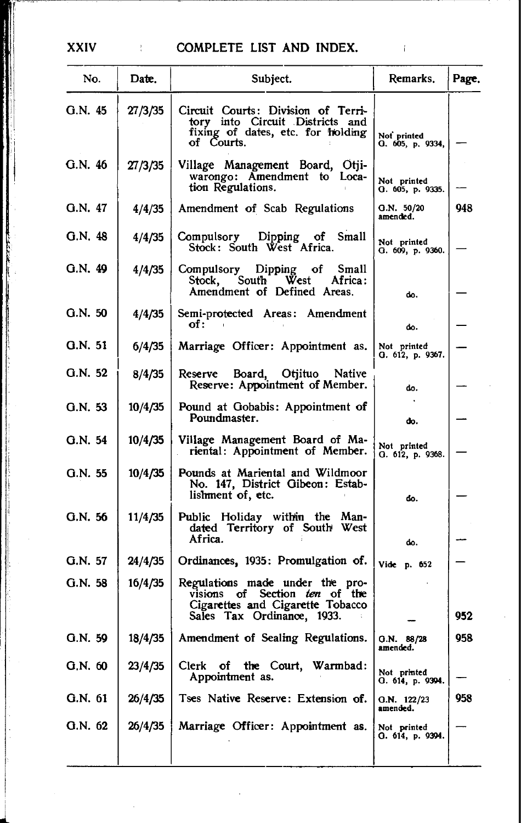# XXIV : COMPLETE LIST AND INDEX.

| No.     | Date.   | Subject.                                                                                                                           | Remarks.                        | Page. |
|---------|---------|------------------------------------------------------------------------------------------------------------------------------------|---------------------------------|-------|
| G.N. 45 | 27/3/35 | Circuit Courts: Division of Terri-<br>tory into Circuit Districts and<br>fixing of dates, etc. for holding<br>of Courts.           | Not printed<br>O. 605, p. 9334, |       |
| G.N. 46 | 27/3/35 | Village Management Board, Otji-<br>warongo: Amendment to Loca-<br>tion Regulations.                                                | Not printed<br>G. 605, p. 9335. |       |
| G.N. 47 | 4/4/35  | Amendment of Scab Regulations                                                                                                      | Q.N. 50/20<br>amended.          | 948   |
| G.N.48  | 4/4/35  | Compulsory Dipping of Small<br>Stock: South West Africa.                                                                           | Not printed<br>G. 609, p. 9360. |       |
| G.N. 49 | 4/4/35  | Compulsory Dipping of Small<br>Stock, South West<br>Africa:<br>Amendment of Defined Areas.                                         | do.                             |       |
| Q.N.50  | 4/4/35  | Semi-protected Areas: Amendment<br>of :                                                                                            | do.                             |       |
| G.N. 51 | 6/4/35  | Marriage Officer: Appointment as.                                                                                                  | Not printed<br>G. 612, p. 9367. |       |
| G.N. 52 | 8/4/35  | Board, Otjituo Native<br>Reserve<br>Reserve: Appointment of Member.                                                                | do.                             |       |
| G.N. 53 | 10/4/35 | Pound at Gobabis: Appointment of<br>Poundmaster.                                                                                   | do.                             |       |
| G.N. 54 | 10/4/35 | Village Management Board of Ma-<br>riental: Appointment of Member.                                                                 | Not printed<br>O. 612, p. 9368. |       |
| G.N. 55 | 10/4/35 | Pounds at Mariental and Wildmoor<br>No. 147, District Gibeon: Estab-<br>lishment of, etc.                                          | do.                             |       |
| G.N. 56 | 11/4/35 | Public Holiday within the<br>Man-<br>dated Territory of South West<br>Africa.                                                      | do.                             |       |
| G.N. 57 | 24/4/35 | Ordinances, 1935: Promulgation of.                                                                                                 | Vide p. 652                     |       |
| G.N. 58 | 16/4/35 | Regulations made under the pro-<br>visions of Section ten of the<br>Cigarettes and Cigarette Tobacco<br>Sales Tax Ordinance, 1933. |                                 | 952   |
| G.N. 59 | 18/4/35 | Amendment of Sealing Regulations.                                                                                                  | O.N.<br>88/28<br>amended.       | 958   |
| G.N. 60 | 23/4/35 | Clerk of the Court, Warmbad:<br>Appointment as.                                                                                    | Not printed<br>O. 614, p. 9394. |       |
| G.N. 61 | 26/4/35 | Tses Native Reserve: Extension of.                                                                                                 | Q.N. 122/23<br>amended.         | 958   |
| G.N. 62 | 26/4/35 | Marriage Officer: Appointment as.                                                                                                  | Not printed<br>Q. 614, p. 9394. |       |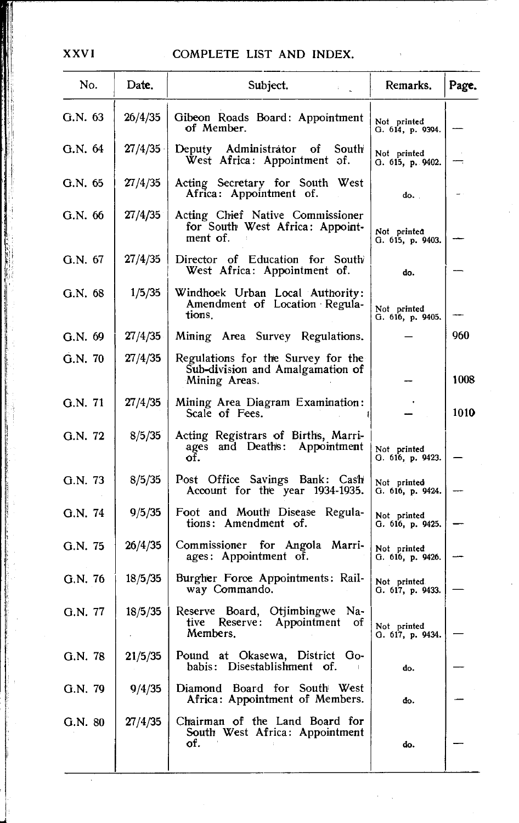| No.     | Date,   | Subject.                                                                                | Remarks.                        | Page. |
|---------|---------|-----------------------------------------------------------------------------------------|---------------------------------|-------|
| G.N. 63 | 26/4/35 | Gibeon Roads Board: Appointment<br>of Member.                                           | Not printed<br>G. 614, p. 9394. |       |
| G.N. 64 | 27/4/35 | Deputy Administrator of<br>South<br>West Africa: Appointment of.                        | Not printed<br>G. 615, p. 9402. |       |
| G.N. 65 | 27/4/35 | Acting Secretary for South West<br>Africa: Appointment of.                              | do.                             |       |
| G.N. 66 | 27/4/35 | Acting Chief Native Commissioner<br>for South West Africa: Appoint-<br>ment of.         | Not printea<br>G. 615, p. 9403. |       |
| G.N. 67 | 27/4/35 | Director of Education for South<br>West Africa: Appointment of.                         | do.                             |       |
| G.N. 68 | 1/5/35  | Windhoek Urban Local Authority:<br>Amendment of Location Regula-<br>tions.              | Not printed<br>G. 616, p. 9405. |       |
| G.N. 69 | 27/4/35 | Mining Area Survey Regulations.                                                         |                                 | 960   |
| G.N.70  | 27/4/35 | Regulations for the Survey for the<br>Sub-division and Amalgamation of<br>Mining Areas. |                                 | 1008  |
| G.N. 71 | 27/4/35 | Mining Area Diagram Examination:<br>Scale of Fees.                                      |                                 | 1010  |
| G.N. 72 | 8/5/35  | Acting Registrars of Births, Marri-<br>ages and Deaths: Appointment<br>of.              | Not printed<br>G. 616, p. 9423. |       |
| G.N. 73 | 8/5/35  | Post Office Savings Bank: Cash<br>Account for the year 1934-1935.                       | Not printed<br>G. 616, p. 9424. |       |
| G.N. 74 | 9/5/35  | Foot and Mouth Disease Regula-<br>tions: Amendment of.                                  | Not printed<br>G. 616, p. 9425. |       |
| G.N. 75 | 26/4/35 | Commissioner for Angola Marri-<br>ages: Appointment of.                                 | Not printed<br>G. 616, p. 9426. |       |
| G.N. 76 | 18/5/35 | Burgher Force Appointments: Rail-<br>way Commando.                                      | Not printed<br>G. 617, p. 9433. |       |
| G.N. 77 | 18/5/35 | Reserve Board, Otjimbingwe Na-<br>Appointment<br>tive<br>Reserve:<br>-of<br>Members.    | Not printed<br>G. 617, p. 9434. |       |
| G.N. 78 | 21/5/35 | Pound at Okasewa, District Go-<br>Disestablishment of.<br>babis:                        | do.                             |       |
| G.N. 79 | 9/4/35  | Diamond Board for South West<br>Africa: Appointment of Members.                         | đο.                             |       |
| G.N. 80 | 27/4/35 | Chairman of the Land Board for<br>South West Africa: Appointment<br>of.                 | do.                             |       |

 $\mathcal{O}(\mathcal{O}_\mathcal{A})$ 

 $\bar{\beta}$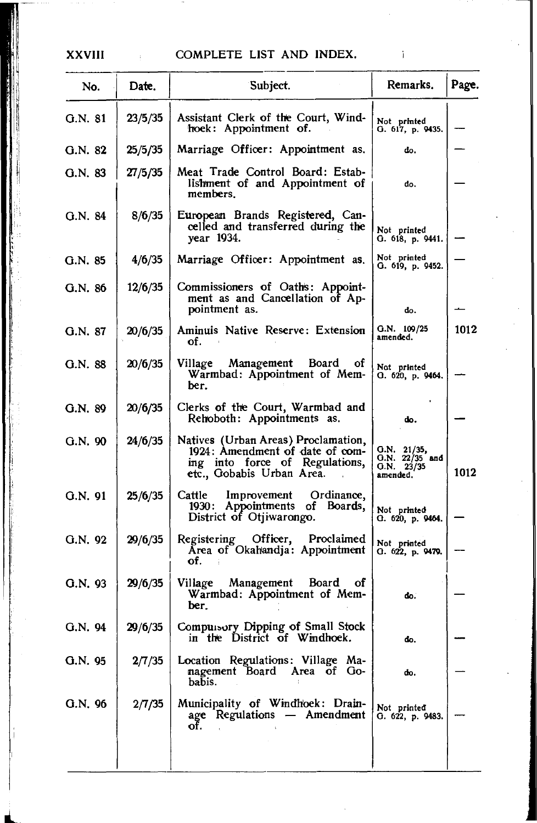## XXVIII

## COMPLETE LIST AND INDEX.

| No.     | Date.   | Subject.                                                                                                                              | Remarks.                                                  | Page. |
|---------|---------|---------------------------------------------------------------------------------------------------------------------------------------|-----------------------------------------------------------|-------|
| G.N. 81 | 23/5/35 | Assistant Clerk of the Court, Wind-<br>hoek: Appointment of.                                                                          | Not printed<br>G. 617, p. 9435.                           |       |
| G.N. 82 | 25/5/35 | Marriage Officer: Appointment as.                                                                                                     | do.                                                       |       |
| G.N. 83 | 27/5/35 | Meat Trade Control Board: Estab-<br>lishment of and Appointment of<br>members.                                                        | do.                                                       |       |
| G.N. 84 | 8/6/35  | European Brands Registered, Can-<br>celled and transferred during the<br>year 1934.                                                   | Not printed<br>О. 618, р. 9441.                           |       |
| G.N. 85 | 4/6/35  | Marriage Officer: Appointment as.                                                                                                     | Not printed<br>G. 619, p. 9452.                           |       |
| G.N. 86 | 12/6/35 | Commissioners of Oaths: Appoint-<br>ment as and Cancellation of Ap-<br>pointment as.                                                  | do.                                                       |       |
| G.N. 87 | 20/6/35 | Aminuis Native Reserve: Extension<br>of.                                                                                              | Q.N. 109/25<br>amended.                                   | 1012  |
| G.N. 88 | 20/6/35 | Village<br>Management Board of<br>Warmbad: Appointment of Mem-<br>ber.                                                                | Not printed<br>О. 620, р. 9464.                           |       |
| G.N. 89 | 20/6/35 | Clerks of the Court, Warmbad and<br>Rehoboth: Appointments as.                                                                        | do.                                                       |       |
| G.N. 90 | 24/6/35 | Natives (Urban Areas) Proclamation,<br>1924: Amendment of date of com-<br>ing into force of Regulations,<br>etc., Gobabis Urban Area. | G.N. 21/35,<br>$O.N. 22/35$ and<br>G.N. 23/35<br>amended. | 1012  |
| G.N. 91 | 25/6/35 | Cattle<br>Improvement<br>Ordinance,<br>1930: Appointments of Boards,<br>District of Otjiwarongo.                                      | Not printed<br>G. 620, p. 9464.                           |       |
| G.N. 92 | 29/6/35 | Registering Officer,<br>Proclaimed<br>Area of Okahandja: Appointment<br>of.                                                           | Not printed<br>G. 622, p. 9479.                           |       |
| G.N. 93 | 29/6/35 | Management Board of<br>Village<br>Warmbad: Appointment of Mem-<br>ber.                                                                | do.                                                       |       |
| G.N. 94 | 29/6/35 | Compuisory Dipping of Small Stock<br>in the District of Windhoek.                                                                     | do.                                                       |       |
| G.N. 95 | 2/7/35  | Location Regulations: Village Ma-<br>nagement Board<br>Area of Go-<br>babis.                                                          | do.                                                       |       |
| G.N. 96 | 2/7/35  | Municipality of Windhoek: Drain-<br>age Regulations - Amendment<br>of.                                                                | Not printed<br>G. 622, p. 9483.                           |       |
|         |         |                                                                                                                                       |                                                           |       |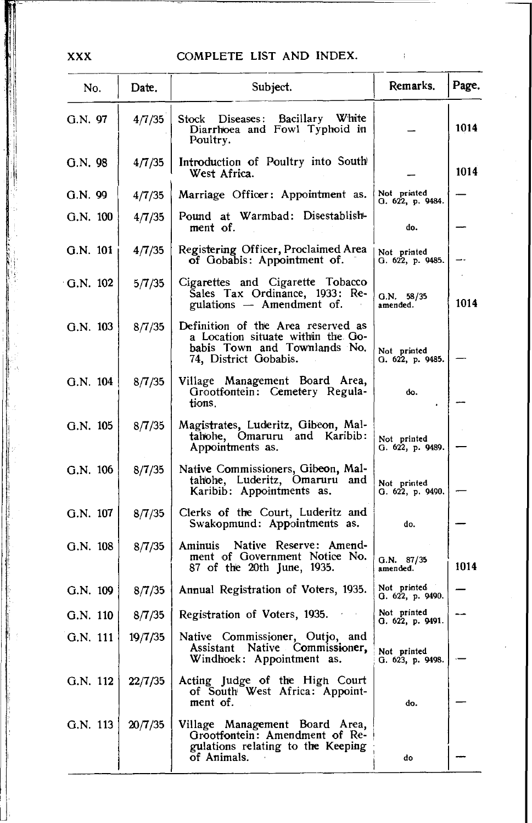$\rightarrow$ 

| No.        | Date.   | Subject.                                                                                                                         | Remarks.                        | Page. |
|------------|---------|----------------------------------------------------------------------------------------------------------------------------------|---------------------------------|-------|
| G.N. 97    | 4/7/35  | Stock Diseases: Bacillary White<br>Diarrhoea and Fowl Typhoid in<br>Poultry.                                                     |                                 | 1014  |
| G.N. 98    | 4/7/35  | Introduction of Poultry into South<br>West Africa.                                                                               |                                 | 1014  |
| G.N. 99    | 4/7/35  | Marriage Officer: Appointment as.                                                                                                | Not printed<br>O. 622, p. 9484. |       |
| $G.N.$ 100 | 4/7/35  | Pound at Warmbad: Disestablish-<br>ment of.                                                                                      | do.                             |       |
| G.N. 101   | 4/7/35  | Registering Officer, Proclaimed Area<br>of Gobabis: Appointment of.                                                              | Not printed<br>G. 622, p. 9485. |       |
| $G.N.$ 102 | 5/7/35  | Cigarettes and Cigarette Tobacco<br>Sales Tax Ordinance, 1933: Re-<br>gulations — Amendment of.                                  | G.N. 58/35<br>amended.          | 1014  |
| $G.N.$ 103 | 8/7/35  | Definition of the Area reserved as<br>a Location situate within the Go-<br>babis Town and Townlands No.<br>74, District Gobabis. | Not printed<br>G. 622, p. 9485. |       |
| $G.N.$ 104 | 8/7/35  | Village Management Board Area,<br>Grootfontein: Cemetery Regula-<br>tions.                                                       | do.                             |       |
| G.N. 105   | 8/7/35  | Magistrates, Luderitz, Gibeon, Mal-<br>tahohe, Omaruru and Karibib:<br>Appointments as.                                          | Not printed<br>G. 622, p. 9489. |       |
| G.N. 106   | 8/7/35  | Native Commissioners, Gibeon, Mal-<br>tahohe, Luderitz, Omaruru and<br>Karibib: Appointments as.                                 | Not printed<br>G. 622, p. 9490. |       |
| G.N. 107   | 8/7/35  | Clerks of the Court, Luderitz and<br>Swakopmund: Appointments as.                                                                | do.                             |       |
| $G.N.$ 108 | 8/7/35  | Native Reserve: Amend-<br>Aminuis<br>ment of Government Notice No.<br>87 of the 20th June, 1935.                                 | G.N. 87/35<br>amended.          | 1014  |
| G.N. 109   | 8/7/35  | Annual Registration of Voters, 1935.                                                                                             | Not printed<br>G. 622, p. 9490. |       |
| G.N. 110   | 8/7/35  | Registration of Voters, 1935.                                                                                                    | Not printed<br>G. 622, p. 9491. |       |
| G.N. 111   | 19/7/35 | Native Commissioner, Outjo, and<br>Assistant Native Commissioner,<br>Windhoek: Appointment as.                                   | Not printed<br>G. 623, p. 9498. |       |
| G.N. 112   | 22/7/35 | Acting Judge of the High Court<br>of South West Africa: Appoint-<br>ment of.                                                     | do.                             |       |
| G.N. 113   | 20/7/35 | Village Management Board Area,<br>Grootfontein: Amendment of Re-<br>gulations relating to the Keeping<br>of Animals.             | do                              |       |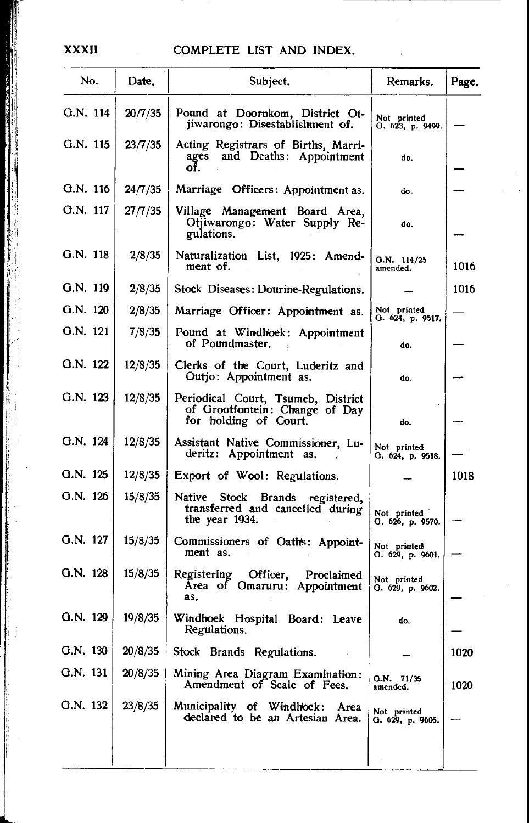## XXXII COMPLETE LIST AND INDEX.

| No.       | Date.   | Subject.                                                                                      | Remarks.                        | Page. |
|-----------|---------|-----------------------------------------------------------------------------------------------|---------------------------------|-------|
| G.N. 114  | 20/7/35 | Pound at Doornkom, District Ot-<br>jiwarongo: Disestablishment of.                            | Not printed<br>G. 623, p. 9499. |       |
| G.N. 115. | 23/7/35 | Acting Registrars of Births, Marri-<br>ages and Deaths: Appointment<br>of.                    | do.                             |       |
| G.N. 116  | 24/7/35 | Marriage Officers: Appointment as.                                                            | do.                             |       |
| G.N. 117  | 27/7/35 | Village Management Board Area,<br>Otjiwarongo: Water Supply Re-<br>gulations.                 | do.                             |       |
| G.N. 118  | 2/8/35  | Naturalization List, 1925: Amend-<br>ment of.                                                 | $G.N.$ 114/25<br>amended.       | 1016  |
| G.N. 119  | 2/8/35  | Stock Diseases: Dourine-Regulations.                                                          |                                 | 1016  |
| G.N. 120  | 2/8/35  | Marriage Officer: Appointment as.                                                             | Not printed<br>G. 624, p. 9517. |       |
| G.N. 121  | 7/8/35  | Pound at Windhoek: Appointment<br>of Poundmaster.                                             | do.                             |       |
| G.N. 122  | 12/8/35 | Clerks of the Court, Luderitz and<br>Outjo: Appointment as.                                   | do.                             |       |
| G.N. 123  | 12/8/35 | Periodical Court, Tsumeb, District<br>of Grootfontein: Change of Day<br>for holding of Court. | do.                             |       |
| G.N. 124  | 12/8/35 | Assistant Native Commissioner, Lu-<br>deritz: Appointment as.                                 | Not printed<br>G. 624, p. 9518. |       |
| G.N. 125  | 12/8/35 | Export of Wool: Regulations.                                                                  |                                 | 1018  |
| G.N. 126  | 15/8/35 | Native Stock Brands registered,<br>transferred and cancelled during<br>the year 1934.         | Not printed<br>О. 626, р. 9570. |       |
| G.N. 127  | 15/8/35 | Commissioners of Oaths: Appoint-<br>ment as.                                                  | Not printed<br>G. 629, p. 9601. |       |
| G.N. 128  | 15/8/35 | Registering Officer,<br>Proclaimed<br>Area of Omaruru: Appointment<br>as.                     | Not printed<br>G. 629, p. 9602. |       |
| G.N. 129  | 19/8/35 | Windhoek Hospital Board: Leave<br>Regulations.                                                | do.                             |       |
| G.N. 130  | 20/8/35 | Stock Brands Regulations.                                                                     |                                 | 1020  |
| G.N. 131  | 20/8/35 | Mining Area Diagram Examination:<br>Amendment of Scale of Fees.                               | Q.N. 71/35<br>amended.          | 1020  |
| G.N. 132  | 23/8/35 | Municipality of Windhoek:<br>Area<br>declared to be an Artesian Area.                         | Not printed<br>О. 629, р. 9605. |       |
|           |         |                                                                                               |                                 |       |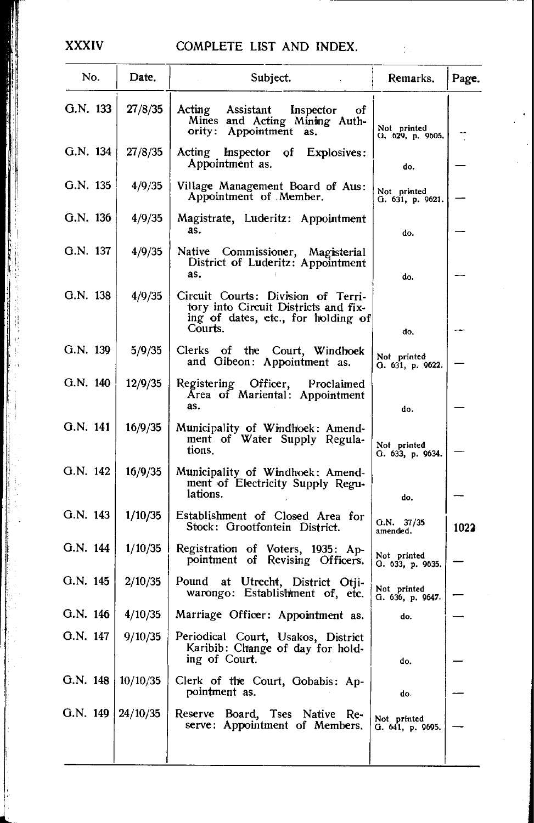## **XXXIV**

## COMPLETE LIST AND INDEX.

 $\bar{\gamma}$ 

| No.      | Date.    | Subject.                                                                                                                    | Remarks.                        | Page. |
|----------|----------|-----------------------------------------------------------------------------------------------------------------------------|---------------------------------|-------|
| G.N. 133 | 27/8/35  | Acting<br>Assistant<br>Inspector<br>of<br>Mines and Acting Mining Auth-<br>ority: Appointment as.                           | Not printed<br>G. 629, p. 9605. |       |
| G.N. 134 | 27/8/35  | Acting Inspector of<br>Explosives:<br>Appointment as.                                                                       | do.                             |       |
| G.N. 135 | 4/9/35   | Village Management Board of Aus:<br>Appointment of Member.                                                                  | Not printed<br>G. 631, p. 9621. |       |
| G.N. 136 | 4/9/35   | Magistrate, Luderitz: Appointment<br>as.                                                                                    | do.                             |       |
| G.N. 137 | 4/9/35   | Native Commissioner, Magisterial<br>District of Luderitz: Appointment<br>as.                                                | do.                             |       |
| G.N. 138 | 4/9/35   | Circuit Courts: Division of Terri-<br>tory into Circuit Districts and fix-<br>ing of dates, etc., for holding of<br>Courts. | do,                             |       |
| G.N. 139 | 5/9/35   | Clerks of the Court, Windhoek<br>and Gibeon: Appointment as.                                                                | Not printed<br>G. 631, p. 9622. |       |
| G.N. 140 | 12/9/35  | Registering<br>Officer, Proclaimed<br>Area of Mariental: Appointment<br>as.                                                 | do.                             |       |
| G.N. 141 | 16/9/35  | Municipality of Windhoek: Amend-<br>ment of Water Supply Regula-<br>tions.                                                  | Not printed<br>G. 633, p. 9634. |       |
| G.N. 142 | 16/9/35  | Municipality of Windhoek: Amend-<br>ment of Electricity Supply Regu-<br>lations.                                            | do.                             |       |
| G.N. 143 | 1/10/35  | Establishment of Closed Area for<br>Stock: Grootfontein District.                                                           | $Q.N.$ 37/35<br>amended.        | 1022  |
| G.N. 144 | 1/10/35  | Registration of Voters, 1935: Ap-<br>pointment of Revising Officers.                                                        | Not printed<br>O. 633, p. 9635. |       |
| G.N. 145 | 2/10/35  | Pound at Utrecht, District Otji-<br>warongo: Establishment of, etc.                                                         | Not printed<br>G. 636, p. 9647. |       |
| G.N. 146 | 4/10/35  | Marriage Officer: Appointment as.                                                                                           | do.                             |       |
| G.N. 147 | 9/10/35  | Periodical Court, Usakos, District<br>Karibib: Change of day for hold-<br>ing of Court.                                     | do.                             |       |
| G.N. 148 | 10/10/35 | Clerk of the Court, Gobabis: Ap-<br>pointment as.                                                                           | do.                             |       |
| G.N. 149 | 24/10/35 | Reserve Board, Tses Native Re-<br>serve: Appointment of Members.                                                            | Not printed<br>Q. 641, p. 9695. |       |
|          |          |                                                                                                                             |                                 |       |